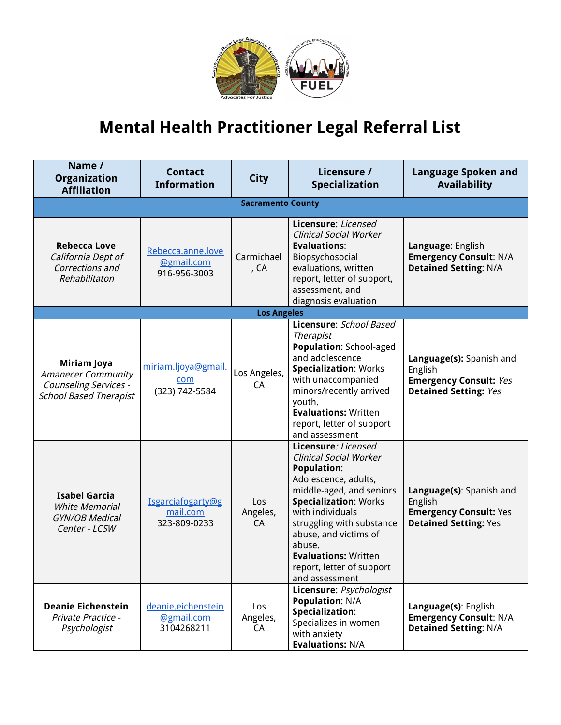

## **Mental Health Practitioner Legal Referral List**

| Name /<br>Organization<br><b>Affiliation</b>                                                       | <b>Contact</b><br><b>Information</b>            | <b>City</b>              | Licensure /<br>Specialization                                                                                                                                                                                                                                                                                                    | <b>Language Spoken and</b><br><b>Availability</b>                                                    |
|----------------------------------------------------------------------------------------------------|-------------------------------------------------|--------------------------|----------------------------------------------------------------------------------------------------------------------------------------------------------------------------------------------------------------------------------------------------------------------------------------------------------------------------------|------------------------------------------------------------------------------------------------------|
|                                                                                                    |                                                 | <b>Sacramento County</b> |                                                                                                                                                                                                                                                                                                                                  |                                                                                                      |
| <b>Rebecca Love</b><br>California Dept of<br>Corrections and<br>Rehabilitaton                      | Rebecca.anne.love<br>@gmail.com<br>916-956-3003 | Carmichael<br>, CA       | Licensure: Licensed<br><b>Clinical Social Worker</b><br><b>Evaluations:</b><br>Biopsychosocial<br>evaluations, written<br>report, letter of support,<br>assessment, and<br>diagnosis evaluation                                                                                                                                  | Language: English<br><b>Emergency Consult: N/A</b><br><b>Detained Setting: N/A</b>                   |
|                                                                                                    |                                                 | <b>Los Angeles</b>       |                                                                                                                                                                                                                                                                                                                                  |                                                                                                      |
| Miriam Joya<br><b>Amanecer Community</b><br>Counseling Services -<br><b>School Based Therapist</b> | miriam.ljoya@gmail.<br>com<br>(323) 742-5584    | Los Angeles,<br>CA       | Licensure: School Based<br><b>Therapist</b><br>Population: School-aged<br>and adolescence<br><b>Specialization: Works</b><br>with unaccompanied<br>minors/recently arrived<br>youth.<br><b>Evaluations: Written</b><br>report, letter of support<br>and assessment                                                               | Language(s): Spanish and<br>English<br><b>Emergency Consult: Yes</b><br><b>Detained Setting: Yes</b> |
| <b>Isabel Garcia</b><br><b>White Memorial</b><br><b>GYN/OB Medical</b><br>Center - LCSW            | Isgarciafogarty@g<br>mail.com<br>323-809-0233   | Los<br>Angeles,<br>CA    | Licensure: Licensed<br><b>Clinical Social Worker</b><br><b>Population:</b><br>Adolescence, adults,<br>middle-aged, and seniors<br><b>Specialization: Works</b><br>with individuals<br>struggling with substance<br>abuse, and victims of<br>abuse.<br><b>Evaluations: Written</b><br>report, letter of support<br>and assessment | Language(s): Spanish and<br>English<br><b>Emergency Consult: Yes</b><br><b>Detained Setting: Yes</b> |
| <b>Deanie Eichenstein</b><br><b>Private Practice -</b><br>Psychologist                             | deanie.eichenstein<br>@gmail.com<br>3104268211  | Los<br>Angeles,<br>CA    | Licensure: Psychologist<br><b>Population: N/A</b><br>Specialization:<br>Specializes in women<br>with anxiety<br><b>Evaluations: N/A</b>                                                                                                                                                                                          | Language(s): English<br><b>Emergency Consult: N/A</b><br><b>Detained Setting: N/A</b>                |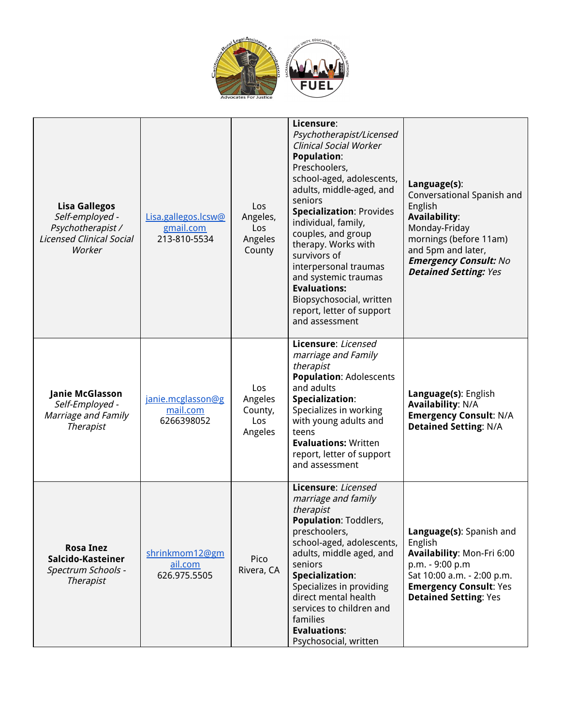

| <b>Lisa Gallegos</b><br>Self-employed -<br>Psychotherapist /<br><b>Licensed Clinical Social</b><br>Worker | Lisa.gallegos.lcsw@<br>gmail.com<br>213-810-5534 | Los<br>Angeles,<br>Los<br>Angeles<br>County | Licensure:<br>Psychotherapist/Licensed<br><b>Clinical Social Worker</b><br><b>Population:</b><br>Preschoolers,<br>school-aged, adolescents,<br>adults, middle-aged, and<br>seniors<br><b>Specialization: Provides</b><br>individual, family,<br>couples, and group<br>therapy. Works with<br>survivors of<br>interpersonal traumas<br>and systemic traumas<br><b>Evaluations:</b><br>Biopsychosocial, written<br>report, letter of support<br>and assessment | Language(s):<br>Conversational Spanish and<br>English<br><b>Availability:</b><br>Monday-Friday<br>mornings (before 11am)<br>and 5pm and later,<br><b>Emergency Consult: No</b><br><b>Detained Setting: Yes</b> |
|-----------------------------------------------------------------------------------------------------------|--------------------------------------------------|---------------------------------------------|--------------------------------------------------------------------------------------------------------------------------------------------------------------------------------------------------------------------------------------------------------------------------------------------------------------------------------------------------------------------------------------------------------------------------------------------------------------|----------------------------------------------------------------------------------------------------------------------------------------------------------------------------------------------------------------|
| Janie McGlasson<br>Self-Employed -<br>Marriage and Family<br><b>Therapist</b>                             | janie.mcglasson@g<br>mail.com<br>6266398052      | Los<br>Angeles<br>County,<br>Los<br>Angeles | Licensure: Licensed<br>marriage and Family<br>therapist<br><b>Population: Adolescents</b><br>and adults<br>Specialization:<br>Specializes in working<br>with young adults and<br>teens<br><b>Evaluations: Written</b><br>report, letter of support<br>and assessment                                                                                                                                                                                         | Language(s): English<br><b>Availability: N/A</b><br><b>Emergency Consult: N/A</b><br><b>Detained Setting: N/A</b>                                                                                              |
| <b>Rosa Inez</b><br>Salcido-Kasteiner<br>Spectrum Schools -<br><b>Therapist</b>                           | shrinkmom12@gm<br>ail.com<br>626.975.5505        | Pico<br>Rivera, CA                          | Licensure: Licensed<br>marriage and family<br>therapist<br><b>Population: Toddlers,</b><br>preschoolers,<br>school-aged, adolescents,<br>adults, middle aged, and<br>seniors<br>Specialization:<br>Specializes in providing<br>direct mental health<br>services to children and<br>families<br><b>Evaluations:</b><br>Psychosocial, written                                                                                                                  | Language(s): Spanish and<br>English<br>Availability: Mon-Fri 6:00<br>p.m. - 9:00 p.m<br>Sat 10:00 a.m. - 2:00 p.m.<br><b>Emergency Consult: Yes</b><br><b>Detained Setting: Yes</b>                            |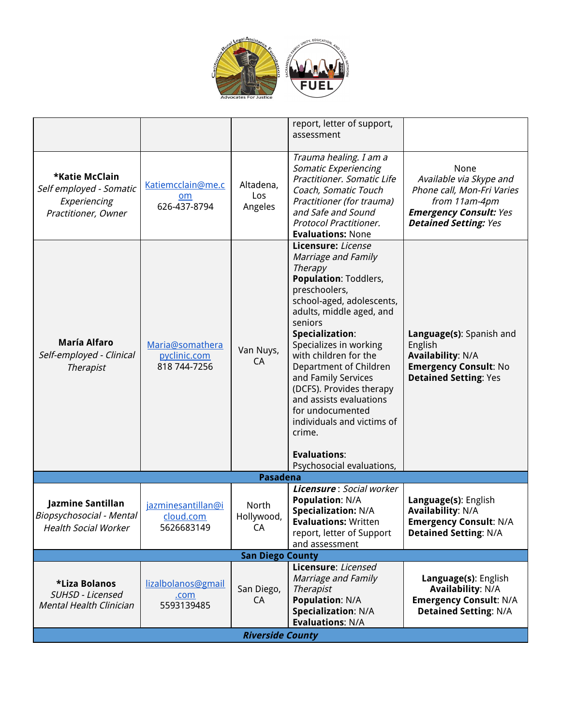

|                                                                                  |                                                 |                             | report, letter of support,<br>assessment                                                                                                                                                                                                                                                                                                                                                                                                                                       |                                                                                                                                                 |  |
|----------------------------------------------------------------------------------|-------------------------------------------------|-----------------------------|--------------------------------------------------------------------------------------------------------------------------------------------------------------------------------------------------------------------------------------------------------------------------------------------------------------------------------------------------------------------------------------------------------------------------------------------------------------------------------|-------------------------------------------------------------------------------------------------------------------------------------------------|--|
| *Katie McClain<br>Self employed - Somatic<br>Experiencing<br>Practitioner, Owner | Katiemcclain@me.c<br>om<br>626-437-8794         | Altadena,<br>Los<br>Angeles | Trauma healing. I am a<br>Somatic Experiencing<br>Practitioner. Somatic Life<br>Coach, Somatic Touch<br>Practitioner (for trauma)<br>and Safe and Sound<br>Protocol Practitioner.<br><b>Evaluations: None</b>                                                                                                                                                                                                                                                                  | None<br>Available via Skype and<br>Phone call, Mon-Fri Varies<br>from 11am-4pm<br><b>Emergency Consult: Yes</b><br><b>Detained Setting: Yes</b> |  |
| <b>María Alfaro</b><br>Self-employed - Clinical<br><b>Therapist</b>              | Maria@somathera<br>pyclinic.com<br>818 744-7256 | Van Nuys,<br>CA             | Licensure: License<br>Marriage and Family<br><b>Therapy</b><br><b>Population: Toddlers,</b><br>preschoolers,<br>school-aged, adolescents,<br>adults, middle aged, and<br>seniors<br>Specialization:<br>Specializes in working<br>with children for the<br>Department of Children<br>and Family Services<br>(DCFS). Provides therapy<br>and assists evaluations<br>for undocumented<br>individuals and victims of<br>crime.<br><b>Evaluations:</b><br>Psychosocial evaluations, | Language(s): Spanish and<br>English<br><b>Availability: N/A</b><br><b>Emergency Consult: No</b><br><b>Detained Setting: Yes</b>                 |  |
|                                                                                  |                                                 | <b>Pasadena</b>             |                                                                                                                                                                                                                                                                                                                                                                                                                                                                                |                                                                                                                                                 |  |
| Jazmine Santillan<br>Biopsychosocial - Mental<br><b>Health Social Worker</b>     | jazminesantillan@i<br>cloud.com<br>5626683149   | North<br>Hollywood,<br>CA   | Licensure: Social worker<br><b>Population: N/A</b><br><b>Specialization: N/A</b><br><b>Evaluations: Written</b><br>report, letter of Support<br>and assessment                                                                                                                                                                                                                                                                                                                 | Language(s): English<br><b>Availability: N/A</b><br><b>Emergency Consult: N/A</b><br><b>Detained Setting: N/A</b>                               |  |
| <b>San Diego County</b>                                                          |                                                 |                             |                                                                                                                                                                                                                                                                                                                                                                                                                                                                                |                                                                                                                                                 |  |
| *Liza Bolanos<br>SUHSD - Licensed<br><b>Mental Health Clinician</b>              | lizalbolanos@gmail<br>.com<br>5593139485        | San Diego,<br>CA            | Licensure: Licensed<br>Marriage and Family<br><b>Therapist</b><br><b>Population: N/A</b><br><b>Specialization: N/A</b><br><b>Evaluations: N/A</b>                                                                                                                                                                                                                                                                                                                              | Language(s): English<br><b>Availability: N/A</b><br><b>Emergency Consult: N/A</b><br><b>Detained Setting: N/A</b>                               |  |
| <b>Riverside County</b>                                                          |                                                 |                             |                                                                                                                                                                                                                                                                                                                                                                                                                                                                                |                                                                                                                                                 |  |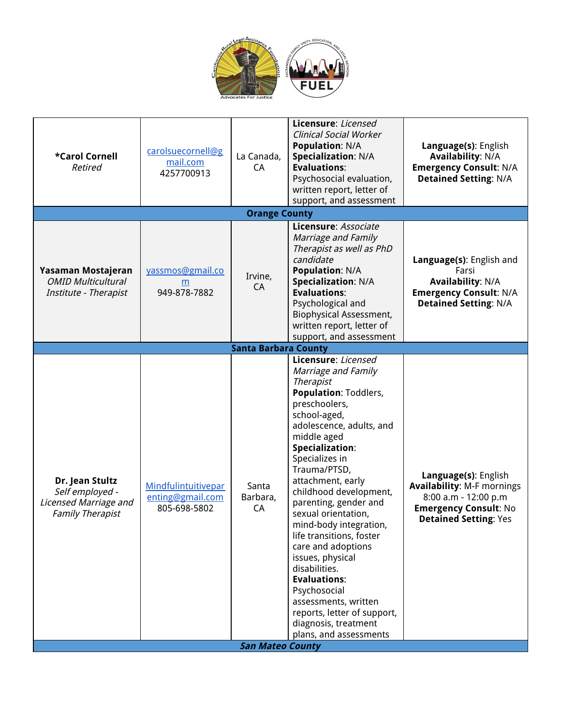

| *Carol Cornell<br>Retired                                                              | carolsuecornell@g<br>mail.com<br>4257700913             | La Canada,<br>CА                                   | Licensure: Licensed<br><b>Clinical Social Worker</b><br><b>Population: N/A</b><br><b>Specialization: N/A</b><br><b>Evaluations:</b><br>Psychosocial evaluation,<br>written report, letter of<br>support, and assessment                                                                                                                                                                                                                                                                                                                                                                         | Language(s): English<br><b>Availability: N/A</b><br><b>Emergency Consult: N/A</b><br><b>Detained Setting: N/A</b>                                 |
|----------------------------------------------------------------------------------------|---------------------------------------------------------|----------------------------------------------------|-------------------------------------------------------------------------------------------------------------------------------------------------------------------------------------------------------------------------------------------------------------------------------------------------------------------------------------------------------------------------------------------------------------------------------------------------------------------------------------------------------------------------------------------------------------------------------------------------|---------------------------------------------------------------------------------------------------------------------------------------------------|
|                                                                                        |                                                         | <b>Orange County</b>                               |                                                                                                                                                                                                                                                                                                                                                                                                                                                                                                                                                                                                 |                                                                                                                                                   |
| Yasaman Mostajeran<br><b>OMID Multicultural</b><br>Institute - Therapist               | yassmos@gmail.co<br>m<br>949-878-7882                   | Irvine,<br>CA                                      | Licensure: Associate<br>Marriage and Family<br>Therapist as well as PhD<br>candidate<br><b>Population: N/A</b><br>Specialization: N/A<br><b>Evaluations:</b><br>Psychological and<br>Biophysical Assessment,<br>written report, letter of<br>support, and assessment                                                                                                                                                                                                                                                                                                                            | Language(s): English and<br>Farsi<br><b>Availability: N/A</b><br><b>Emergency Consult: N/A</b><br><b>Detained Setting: N/A</b>                    |
|                                                                                        |                                                         | <b>Santa Barbara County</b>                        |                                                                                                                                                                                                                                                                                                                                                                                                                                                                                                                                                                                                 |                                                                                                                                                   |
| Dr. Jean Stultz<br>Self employed -<br>Licensed Marriage and<br><b>Family Therapist</b> | Mindfulintuitivepar<br>enting@gmail.com<br>805-698-5802 | Santa<br>Barbara,<br>CA<br><b>San Mateo County</b> | Licensure: Licensed<br>Marriage and Family<br><b>Therapist</b><br><b>Population: Toddlers,</b><br>preschoolers,<br>school-aged,<br>adolescence, adults, and<br>middle aged<br>Specialization:<br>Specializes in<br>Trauma/PTSD,<br>attachment, early<br>childhood development,<br>parenting, gender and<br>sexual orientation,<br>mind-body integration,<br>life transitions, foster<br>care and adoptions<br>issues, physical<br>disabilities.<br><b>Evaluations:</b><br>Psychosocial<br>assessments, written<br>reports, letter of support,<br>diagnosis, treatment<br>plans, and assessments | Language(s): English<br><b>Availability: M-F mornings</b><br>8:00 a.m - 12:00 p.m<br><b>Emergency Consult: No</b><br><b>Detained Setting: Yes</b> |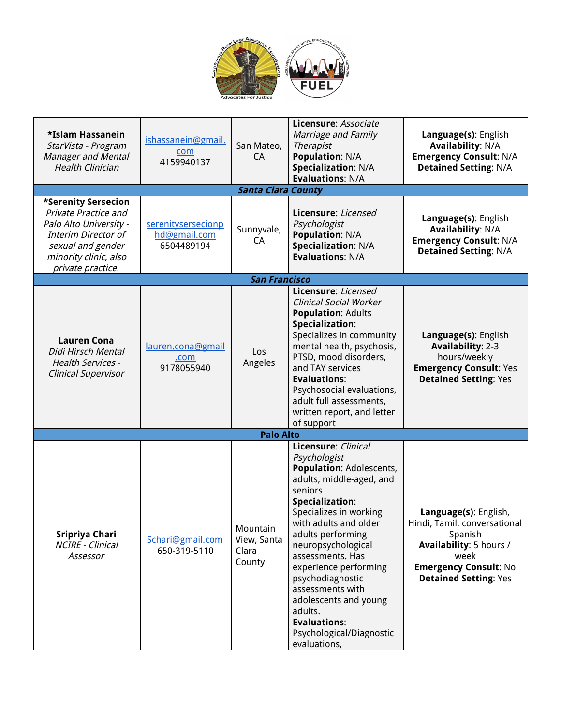

| *Islam Hassanein<br>StarVista - Program<br><b>Manager and Mental</b><br><b>Health Clinician</b>                                                                               | ishassanein@gmail.<br>com<br>4159940137          | San Mateo,<br>CA                           | Licensure: Associate<br>Marriage and Family<br><b>Therapist</b><br><b>Population: N/A</b><br><b>Specialization: N/A</b><br><b>Evaluations: N/A</b>                                                                                                                                                                                                                                                                         | Language(s): English<br><b>Availability: N/A</b><br><b>Emergency Consult: N/A</b><br><b>Detained Setting: N/A</b>                                                   |
|-------------------------------------------------------------------------------------------------------------------------------------------------------------------------------|--------------------------------------------------|--------------------------------------------|----------------------------------------------------------------------------------------------------------------------------------------------------------------------------------------------------------------------------------------------------------------------------------------------------------------------------------------------------------------------------------------------------------------------------|---------------------------------------------------------------------------------------------------------------------------------------------------------------------|
|                                                                                                                                                                               |                                                  | <b>Santa Clara County</b>                  |                                                                                                                                                                                                                                                                                                                                                                                                                            |                                                                                                                                                                     |
| *Serenity Sersecion<br><b>Private Practice and</b><br>Palo Alto University -<br><b>Interim Director of</b><br>sexual and gender<br>minority clinic, also<br>private practice. | serenitysersecionp<br>hd@gmail.com<br>6504489194 | Sunnyvale,<br>CA                           | Licensure: Licensed<br>Psychologist<br><b>Population: N/A</b><br><b>Specialization: N/A</b><br><b>Evaluations: N/A</b>                                                                                                                                                                                                                                                                                                     | Language(s): English<br><b>Availability: N/A</b><br><b>Emergency Consult: N/A</b><br><b>Detained Setting: N/A</b>                                                   |
|                                                                                                                                                                               |                                                  | <b>San Francisco</b>                       |                                                                                                                                                                                                                                                                                                                                                                                                                            |                                                                                                                                                                     |
| <b>Lauren Cona</b><br>Didi Hirsch Mental<br><b>Health Services -</b><br><b>Clinical Supervisor</b>                                                                            | lauren.cona@gmail<br>.com<br>9178055940          | Los<br>Angeles                             | Licensure: Licensed<br><b>Clinical Social Worker</b><br><b>Population: Adults</b><br>Specialization:<br>Specializes in community<br>mental health, psychosis,<br>PTSD, mood disorders,<br>and TAY services<br><b>Evaluations:</b><br>Psychosocial evaluations,<br>adult full assessments,<br>written report, and letter<br>of support                                                                                      | Language(s): English<br><b>Availability: 2-3</b><br>hours/weekly<br><b>Emergency Consult: Yes</b><br><b>Detained Setting: Yes</b>                                   |
|                                                                                                                                                                               |                                                  | <b>Palo Alto</b>                           |                                                                                                                                                                                                                                                                                                                                                                                                                            |                                                                                                                                                                     |
| Sripriya Chari<br>NCIRE - Clinical<br>Assessor                                                                                                                                | Schari@gmail.com<br>650-319-5110                 | Mountain<br>View, Santa<br>Clara<br>County | Licensure: Clinical<br>Psychologist<br><b>Population: Adolescents,</b><br>adults, middle-aged, and<br>seniors<br>Specialization:<br>Specializes in working<br>with adults and older<br>adults performing<br>neuropsychological<br>assessments. Has<br>experience performing<br>psychodiagnostic<br>assessments with<br>adolescents and young<br>adults.<br><b>Evaluations:</b><br>Psychological/Diagnostic<br>evaluations, | Language(s): English,<br>Hindi, Tamil, conversational<br>Spanish<br>Availability: 5 hours /<br>week<br><b>Emergency Consult: No</b><br><b>Detained Setting: Yes</b> |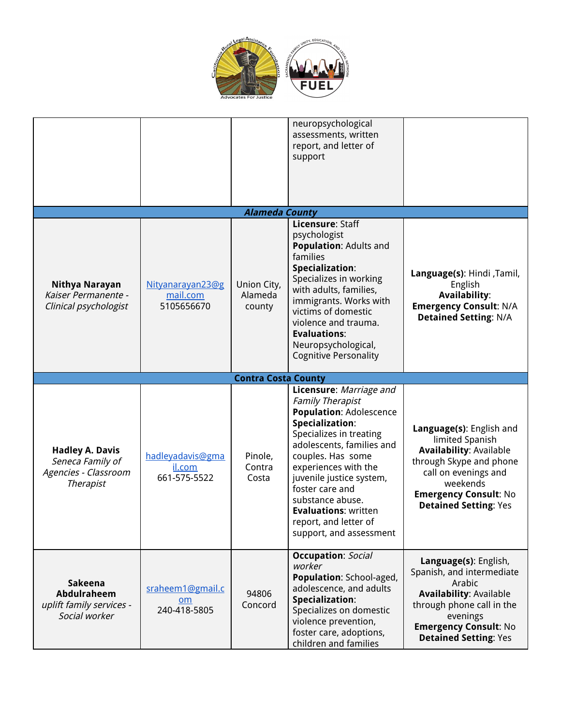

|                                                                                        |                                            |                                  | neuropsychological<br>assessments, written<br>report, and letter of<br>support                                                                                                                                                                                                                                                                                     |                                                                                                                                                                                                              |
|----------------------------------------------------------------------------------------|--------------------------------------------|----------------------------------|--------------------------------------------------------------------------------------------------------------------------------------------------------------------------------------------------------------------------------------------------------------------------------------------------------------------------------------------------------------------|--------------------------------------------------------------------------------------------------------------------------------------------------------------------------------------------------------------|
|                                                                                        |                                            | <b>Alameda County</b>            | Licensure: Staff                                                                                                                                                                                                                                                                                                                                                   |                                                                                                                                                                                                              |
| Nithya Narayan<br>Kaiser Permanente -<br>Clinical psychologist                         | Nityanarayan23@g<br>mail.com<br>5105656670 | Union City,<br>Alameda<br>county | psychologist<br><b>Population: Adults and</b><br>families<br>Specialization:<br>Specializes in working<br>with adults, families,<br>immigrants. Works with<br>victims of domestic<br>violence and trauma.<br><b>Evaluations:</b><br>Neuropsychological,<br><b>Cognitive Personality</b>                                                                            | Language(s): Hindi, Tamil,<br>English<br><b>Availability:</b><br><b>Emergency Consult: N/A</b><br><b>Detained Setting: N/A</b>                                                                               |
|                                                                                        |                                            | <b>Contra Costa County</b>       |                                                                                                                                                                                                                                                                                                                                                                    |                                                                                                                                                                                                              |
| <b>Hadley A. Davis</b><br>Seneca Family of<br>Agencies - Classroom<br><b>Therapist</b> | hadleyadavis@gma<br>il.com<br>661-575-5522 | Pinole,<br>Contra<br>Costa       | Licensure: Marriage and<br><b>Family Therapist</b><br><b>Population: Adolescence</b><br>Specialization:<br>Specializes in treating<br>adolescents, families and<br>couples. Has some<br>experiences with the<br>juvenile justice system,<br>foster care and<br>substance abuse.<br><b>Evaluations: written</b><br>report, and letter of<br>support, and assessment | Language(s): English and<br>limited Spanish<br><b>Availability: Available</b><br>through Skype and phone<br>call on evenings and<br>weekends<br><b>Emergency Consult: No</b><br><b>Detained Setting: Yes</b> |
| <b>Sakeena</b><br>Abdulraheem<br>uplift family services -<br>Social worker             | sraheem1@gmail.c<br>om<br>240-418-5805     | 94806<br>Concord                 | <b>Occupation: Social</b><br>worker<br>Population: School-aged,<br>adolescence, and adults<br>Specialization:<br>Specializes on domestic<br>violence prevention,<br>foster care, adoptions,<br>children and families                                                                                                                                               | Language(s): English,<br>Spanish, and intermediate<br>Arabic<br><b>Availability: Available</b><br>through phone call in the<br>evenings<br><b>Emergency Consult: No</b><br><b>Detained Setting: Yes</b>      |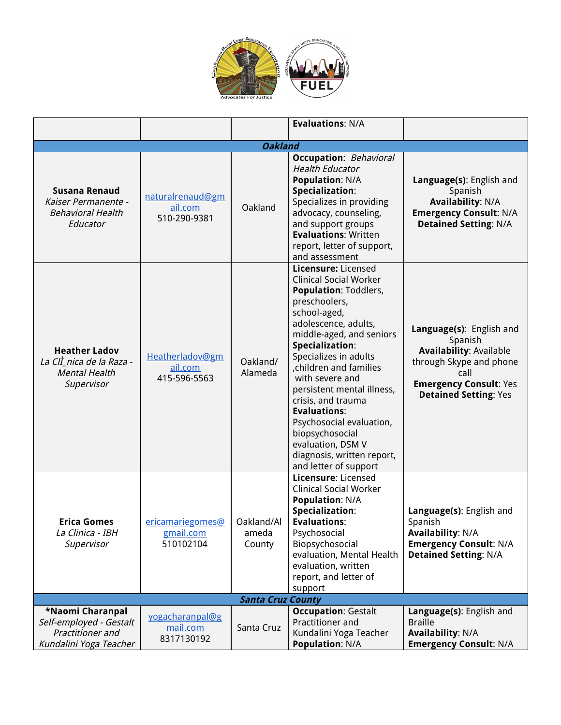

|                                                                                           |                                             |                               | <b>Evaluations: N/A</b>                                                                                                                                                                                                                                                                                                                                                                                                                                                 |                                                                                                                                                                           |
|-------------------------------------------------------------------------------------------|---------------------------------------------|-------------------------------|-------------------------------------------------------------------------------------------------------------------------------------------------------------------------------------------------------------------------------------------------------------------------------------------------------------------------------------------------------------------------------------------------------------------------------------------------------------------------|---------------------------------------------------------------------------------------------------------------------------------------------------------------------------|
|                                                                                           |                                             | <b>Oakland</b>                |                                                                                                                                                                                                                                                                                                                                                                                                                                                                         |                                                                                                                                                                           |
| <b>Susana Renaud</b><br>Kaiser Permanente -<br><b>Behavioral Health</b><br>Educator       | naturalrenaud@gm<br>ail.com<br>510-290-9381 | Oakland                       | <b>Occupation:</b> Behavioral<br><b>Health Educator</b><br><b>Population: N/A</b><br>Specialization:<br>Specializes in providing<br>advocacy, counseling,<br>and support groups<br><b>Evaluations: Written</b><br>report, letter of support,<br>and assessment                                                                                                                                                                                                          | Language(s): English and<br>Spanish<br><b>Availability: N/A</b><br><b>Emergency Consult: N/A</b><br><b>Detained Setting: N/A</b>                                          |
| <b>Heather Ladov</b><br>La ClÌ nica de la Raza -<br><b>Mental Health</b><br>Supervisor    | Heatherladov@gm<br>ail.com<br>415-596-5563  | Oakland/<br>Alameda           | Licensure: Licensed<br><b>Clinical Social Worker</b><br><b>Population: Toddlers,</b><br>preschoolers,<br>school-aged,<br>adolescence, adults,<br>middle-aged, and seniors<br>Specialization:<br>Specializes in adults<br>children and families<br>with severe and<br>persistent mental illness,<br>crisis, and trauma<br><b>Evaluations:</b><br>Psychosocial evaluation,<br>biopsychosocial<br>evaluation, DSM V<br>diagnosis, written report,<br>and letter of support | Language(s): English and<br>Spanish<br><b>Availability: Available</b><br>through Skype and phone<br>call<br><b>Emergency Consult: Yes</b><br><b>Detained Setting: Yes</b> |
| <b>Erica Gomes</b><br>La Clinica - IBH<br>Supervisor                                      | ericamariegomes@<br>gmail.com<br>510102104  | Oakland/Al<br>ameda<br>County | Licensure: Licensed<br><b>Clinical Social Worker</b><br><b>Population: N/A</b><br>Specialization:<br><b>Evaluations:</b><br>Psychosocial<br>Biopsychosocial<br>evaluation, Mental Health<br>evaluation, written<br>report, and letter of<br>support                                                                                                                                                                                                                     | Language(s): English and<br>Spanish<br><b>Availability: N/A</b><br><b>Emergency Consult: N/A</b><br><b>Detained Setting: N/A</b>                                          |
|                                                                                           |                                             | <b>Santa Cruz County</b>      |                                                                                                                                                                                                                                                                                                                                                                                                                                                                         |                                                                                                                                                                           |
| *Naomi Charanpal<br>Self-employed - Gestalt<br>Practitioner and<br>Kundalini Yoga Teacher | yogacharanpal@g<br>mail.com<br>8317130192   | Santa Cruz                    | <b>Occupation: Gestalt</b><br>Practitioner and<br>Kundalini Yoga Teacher<br><b>Population: N/A</b>                                                                                                                                                                                                                                                                                                                                                                      | Language(s): English and<br><b>Braille</b><br><b>Availability: N/A</b><br><b>Emergency Consult: N/A</b>                                                                   |